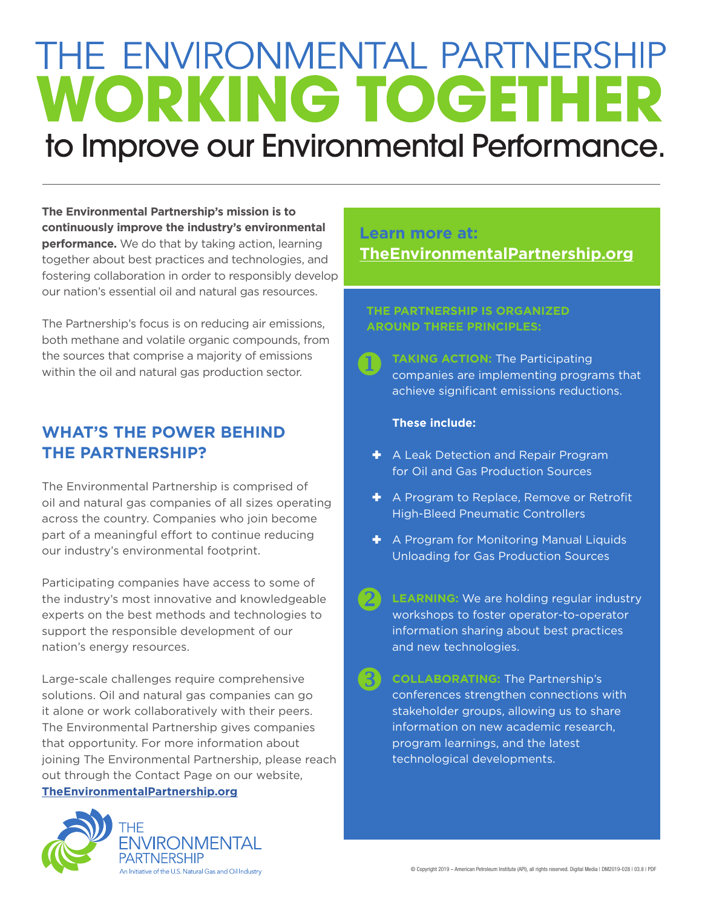# THE ENVIRONMENTAL PARTNERSHIP **WORKING TOGETHER** to Improve our Environmental Performance.

**The Environmental Partnership's mission is to continuously improve the industry's environmental performance.** We do that by taking action, learning together about best practices and technologies, and fostering collaboration in order to responsibly develop our nation's essential oil and natural gas resources.

The Partnership's focus is on reducing air emissions, both methane and volatile organic compounds, from the sources that comprise a majority of emissions within the oil and natural gas production sector.

## **WHAT'S THE POWER BEHIND THE PARTNERSHIP?**

The Environmental Partnership is comprised of oil and natural gas companies of all sizes operating across the country. Companies who join become part of a meaningful effort to continue reducing our industry's environmental footprint.

Participating companies have access to some of the industry's most innovative and knowledgeable experts on the best methods and technologies to support the responsible development of our nation's energy resources.

Large-scale challenges require comprehensive solutions. Oil and natural gas companies can go it alone or work collaboratively with their peers. The Environmental Partnership gives companies that opportunity. For more information about joining The Environmental Partnership, please reach out through the Contact Page on our website,

#### **TheEnvironmentalPartnership.org**



### **Learn more at: TheEnvironmentalPartnership.org**

#### **THE PARTNERSHIP IS ORGANIZED AROUND THREE PRINCIPLES:**

 $\bullet$ **TAKING ACTION:** The Participating companies are implementing programs that achieve significant emissions reductions.

#### **These include:**

- $\blacktriangleright$  A Leak Detection and Repair Program for Oil and Gas Production Sources
- $\blacktriangleright$  A Program to Replace, Remove or Retrofit High-Bleed Pneumatic Controllers
- $\bigstar$  A Program for Monitoring Manual Liquids Unloading for Gas Production Sources
- 2 **LEARNING:** We are holding regular industry workshops to foster operator-to-operator information sharing about best practices and new technologies.
- 8 **COLLABORATING:** The Partnership's conferences strengthen connections with stakeholder groups, allowing us to share information on new academic research, program learnings, and the latest technological developments.